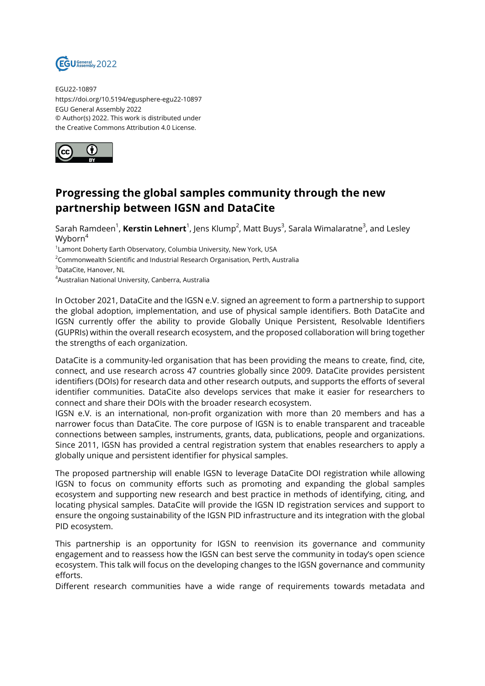

EGU22-10897 https://doi.org/10.5194/egusphere-egu22-10897 EGU General Assembly 2022 © Author(s) 2022. This work is distributed under the Creative Commons Attribution 4.0 License.



## **Progressing the global samples community through the new partnership between IGSN and DataCite**

Sarah Ramdeen<sup>1</sup>, **Kerstin Lehnert**<sup>1</sup>, Jens Klump<sup>2</sup>, Matt Buys<sup>3</sup>, Sarala Wimalaratne<sup>3</sup>, and Lesley Wyborn<sup>4</sup>

 $^{\text{1}}$ Lamont Doherty Earth Observatory, Columbia University, New York, USA

<sup>2</sup>Commonwealth Scientific and Industrial Research Organisation, Perth, Australia

<sup>3</sup>DataCite, Hanover, NL

<sup>4</sup>Australian National University, Canberra, Australia

In October 2021, DataCite and the IGSN e.V. signed an agreement to form a partnership to support the global adoption, implementation, and use of physical sample identifiers. Both DataCite and IGSN currently offer the ability to provide Globally Unique Persistent, Resolvable Identifiers (GUPRIs) within the overall research ecosystem, and the proposed collaboration will bring together the strengths of each organization.

DataCite is a community-led organisation that has been providing the means to create, find, cite, connect, and use research across 47 countries globally since 2009. DataCite provides persistent identifiers (DOIs) for research data and other research outputs, and supports the efforts of several identifier communities. DataCite also develops services that make it easier for researchers to connect and share their DOIs with the broader research ecosystem.

IGSN e.V. is an international, non-profit organization with more than 20 members and has a narrower focus than DataCite. The core purpose of IGSN is to enable transparent and traceable connections between samples, instruments, grants, data, publications, people and organizations. Since 2011, IGSN has provided a central registration system that enables researchers to apply a globally unique and persistent identifier for physical samples.

The proposed partnership will enable IGSN to leverage DataCite DOI registration while allowing IGSN to focus on community efforts such as promoting and expanding the global samples ecosystem and supporting new research and best practice in methods of identifying, citing, and locating physical samples. DataCite will provide the IGSN ID registration services and support to ensure the ongoing sustainability of the IGSN PID infrastructure and its integration with the global PID ecosystem.

This partnership is an opportunity for IGSN to reenvision its governance and community engagement and to reassess how the IGSN can best serve the community in today's open science ecosystem. This talk will focus on the developing changes to the IGSN governance and community efforts.

Different research communities have a wide range of requirements towards metadata and